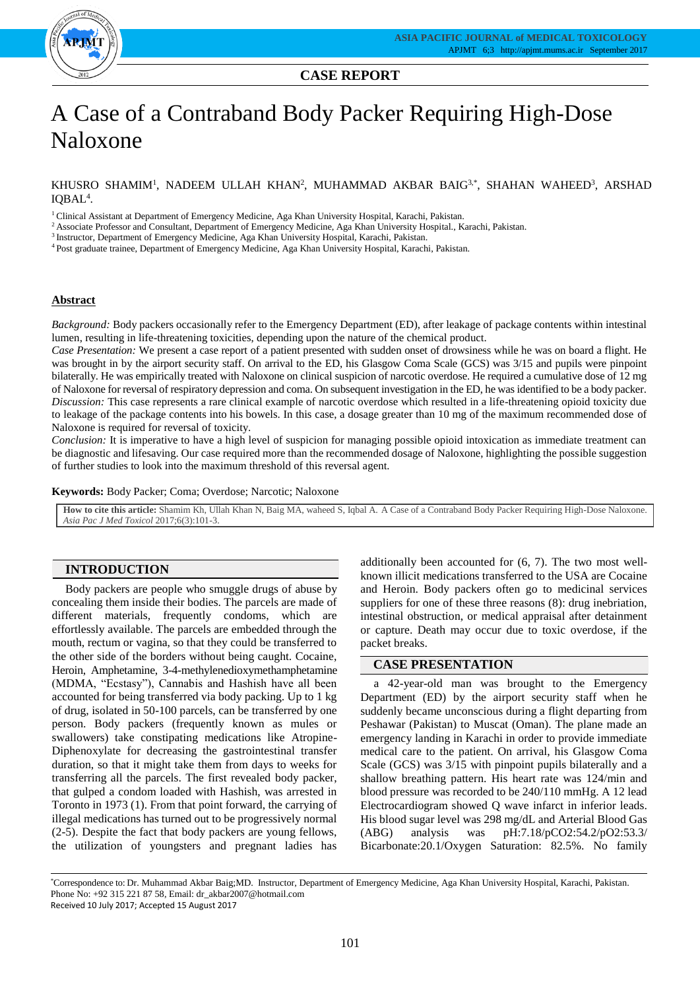

## **CASE REPORT**

# A Case of a Contraband Body Packer Requiring High-Dose Naloxone

KHUSRO SHAMIM<sup>1</sup>, NADEEM ULLAH KHAN<sup>2</sup>, MUHAMMAD AKBAR BAIG<sup>3,\*</sup>, SHAHAN WAHEED<sup>3</sup>, ARSHAD IQBAL<sup>4</sup>.

<sup>1</sup> Clinical Assistant at Department of Emergency Medicine, Aga Khan University Hospital, Karachi, Pakistan.

<sup>2</sup> Associate Professor and Consultant, Department of Emergency Medicine, Aga Khan University Hospital., Karachi, Pakistan.

<sup>3</sup> Instructor, Department of Emergency Medicine, Aga Khan University Hospital, Karachi, Pakistan.

<sup>4</sup> Post graduate trainee, Department of Emergency Medicine, Aga Khan University Hospital, Karachi, Pakistan.

#### **Abstract**

*Background:* Body packers occasionally refer to the Emergency Department (ED), after leakage of package contents within intestinal lumen, resulting in life-threatening toxicities, depending upon the nature of the chemical product.

*Case Presentation:* We present a case report of a patient presented with sudden onset of drowsiness while he was on board a flight. He was brought in by the airport security staff. On arrival to the ED, his Glasgow Coma Scale (GCS) was 3/15 and pupils were pinpoint bilaterally. He was empirically treated with Naloxone on clinical suspicion of narcotic overdose. He required a cumulative dose of 12 mg of Naloxone for reversal of respiratory depression and coma. On subsequent investigation in the ED, he was identified to be a body packer. *Discussion:* This case represents a rare clinical example of narcotic overdose which resulted in a life-threatening opioid toxicity due to leakage of the package contents into his bowels. In this case, a dosage greater than 10 mg of the maximum recommended dose of Naloxone is required for reversal of toxicity.

*Conclusion:* It is imperative to have a high level of suspicion for managing possible opioid intoxication as immediate treatment can be diagnostic and lifesaving. Our case required more than the recommended dosage of Naloxone, highlighting the possible suggestion of further studies to look into the maximum threshold of this reversal agent.

**Keywords:** Body Packer; Coma; Overdose; Narcotic; Naloxone

**How to cite this article:** Shamim Kh, Ullah Khan N, Baig MA, waheed S, Iqbal A. A Case of a Contraband Body Packer Requiring High-Dose Naloxone. *Asia Pac J Med Toxicol* 2017;6(3):101-3.

### **INTRODUCTION**

Body packers are people who smuggle drugs of abuse by concealing them inside their bodies. The parcels are made of different materials, frequently condoms, which are effortlessly available. The parcels are embedded through the mouth, rectum or vagina, so that they could be transferred to the other side of the borders without being caught. Cocaine, Heroin, Amphetamine, 3-4-methylenedioxymethamphetamine (MDMA, "Ecstasy"), Cannabis and Hashish have all been accounted for being transferred via body packing. Up to 1 kg of drug, isolated in 50-100 parcels, can be transferred by one person. Body packers (frequently known as mules or swallowers) take constipating medications like Atropine-Diphenoxylate for decreasing the gastrointestinal transfer duration, so that it might take them from days to weeks for transferring all the parcels. The first revealed body packer, that gulped a condom loaded with Hashish, was arrested in Toronto in 1973 (1). From that point forward, the carrying of illegal medications has turned out to be progressively normal (2-5). Despite the fact that body packers are young fellows, the utilization of youngsters and pregnant ladies has

additionally been accounted for (6, 7). The two most wellknown illicit medications transferred to the USA are Cocaine and Heroin. Body packers often go to medicinal services suppliers for one of these three reasons (8): drug inebriation, intestinal obstruction, or medical appraisal after detainment or capture. Death may occur due to toxic overdose, if the packet breaks.

## **CASE PRESENTATION**

a 42-year-old man was brought to the Emergency Department (ED) by the airport security staff when he suddenly became unconscious during a flight departing from Peshawar (Pakistan) to Muscat (Oman). The plane made an emergency landing in Karachi in order to provide immediate medical care to the patient. On arrival, his Glasgow Coma Scale (GCS) was 3/15 with pinpoint pupils bilaterally and a shallow breathing pattern. His heart rate was 124/min and blood pressure was recorded to be 240/110 mmHg. A 12 lead Electrocardiogram showed Q wave infarct in inferior leads. His blood sugar level was 298 mg/dL and Arterial Blood Gas (ABG) analysis was pH:7.18/pCO2:54.2/pO2:53.3/ Bicarbonate:20.1/Oxygen Saturation: 82.5%. No family

\*Correspondence to: Dr. Muhammad Akbar Baig;MD. Instructor, Department of Emergency Medicine, Aga Khan University Hospital, Karachi, Pakistan. Phone No: +92 315 221 87 58, Email: dr\_akbar2007@hotmail.com Received 10 July 2017; Accepted 15 August 2017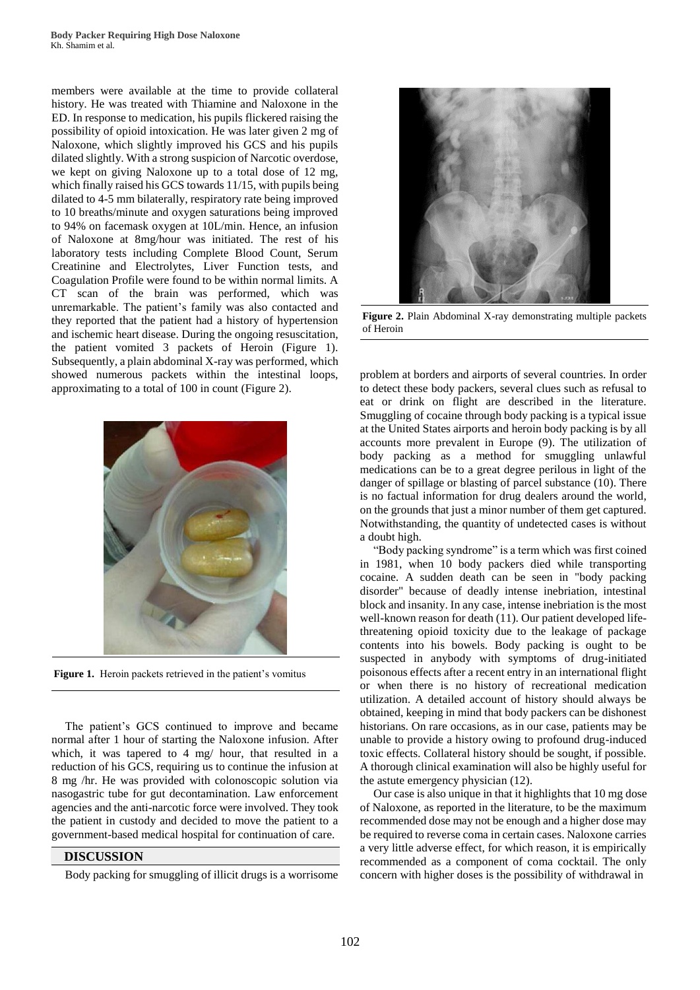members were available at the time to provide collateral history. He was treated with Thiamine and Naloxone in the ED. In response to medication, his pupils flickered raising the possibility of opioid intoxication. He was later given 2 mg of Naloxone, which slightly improved his GCS and his pupils dilated slightly. With a strong suspicion of Narcotic overdose, we kept on giving Naloxone up to a total dose of 12 mg, which finally raised his GCS towards 11/15, with pupils being dilated to 4-5 mm bilaterally, respiratory rate being improved to 10 breaths/minute and oxygen saturations being improved to 94% on facemask oxygen at 10L/min. Hence, an infusion of Naloxone at 8mg/hour was initiated. The rest of his laboratory tests including Complete Blood Count, Serum Creatinine and Electrolytes, Liver Function tests, and Coagulation Profile were found to be within normal limits. A CT scan of the brain was performed, which was unremarkable. The patient's family was also contacted and they reported that the patient had a history of hypertension and ischemic heart disease. During the ongoing resuscitation, the patient vomited 3 packets of Heroin (Figure 1). Subsequently, a plain abdominal X-ray was performed, which showed numerous packets within the intestinal loops, approximating to a total of 100 in count (Figure 2).



Figure 1. Heroin packets retrieved in the patient's vomitus

The patient's GCS continued to improve and became normal after 1 hour of starting the Naloxone infusion. After which, it was tapered to 4 mg/ hour, that resulted in a reduction of his GCS, requiring us to continue the infusion at 8 mg /hr. He was provided with colonoscopic solution via nasogastric tube for gut decontamination. Law enforcement agencies and the anti-narcotic force were involved. They took the patient in custody and decided to move the patient to a government-based medical hospital for continuation of care.

#### **DISCUSSION**

Body packing for smuggling of illicit drugs is a worrisome



**Figure 2.** Plain Abdominal X-ray demonstrating multiple packets of Heroin

problem at borders and airports of several countries. In order to detect these body packers, several clues such as refusal to eat or drink on flight are described in the literature. Smuggling of cocaine through body packing is a typical issue at the United States airports and heroin body packing is by all accounts more prevalent in Europe (9). The utilization of body packing as a method for smuggling unlawful medications can be to a great degree perilous in light of the danger of spillage or blasting of parcel substance (10). There is no factual information for drug dealers around the world, on the grounds that just a minor number of them get captured. Notwithstanding, the quantity of undetected cases is without a doubt high.

"Body packing syndrome" is a term which was first coined in 1981, when 10 body packers died while transporting cocaine. A sudden death can be seen in "body packing disorder" because of deadly intense inebriation, intestinal block and insanity. In any case, intense inebriation is the most well-known reason for death (11). Our patient developed lifethreatening opioid toxicity due to the leakage of package contents into his bowels. Body packing is ought to be suspected in anybody with symptoms of drug-initiated poisonous effects after a recent entry in an international flight or when there is no history of recreational medication utilization. A detailed account of history should always be obtained, keeping in mind that body packers can be dishonest historians. On rare occasions, as in our case, patients may be unable to provide a history owing to profound drug-induced toxic effects. Collateral history should be sought, if possible. A thorough clinical examination will also be highly useful for the astute emergency physician (12).

Our case is also unique in that it highlights that 10 mg dose of Naloxone, as reported in the literature, to be the maximum recommended dose may not be enough and a higher dose may be required to reverse coma in certain cases. Naloxone carries a very little adverse effect, for which reason, it is empirically recommended as a component of coma cocktail. The only concern with higher doses is the possibility of withdrawal in